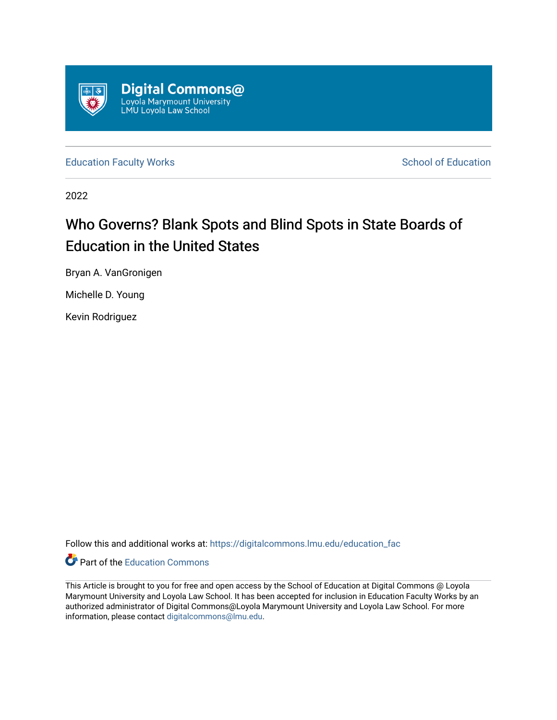

[Education Faculty Works](https://digitalcommons.lmu.edu/education_fac) **Education** School of Education

2022

## Who Governs? Blank Spots and Blind Spots in State Boards of Education in the United States

Bryan A. VanGronigen

Michelle D. Young

Kevin Rodriguez

Follow this and additional works at: [https://digitalcommons.lmu.edu/education\\_fac](https://digitalcommons.lmu.edu/education_fac?utm_source=digitalcommons.lmu.edu%2Feducation_fac%2F77&utm_medium=PDF&utm_campaign=PDFCoverPages) 



This Article is brought to you for free and open access by the School of Education at Digital Commons @ Loyola Marymount University and Loyola Law School. It has been accepted for inclusion in Education Faculty Works by an authorized administrator of Digital Commons@Loyola Marymount University and Loyola Law School. For more information, please contact [digitalcommons@lmu.edu.](mailto:digitalcommons@lmu.edu)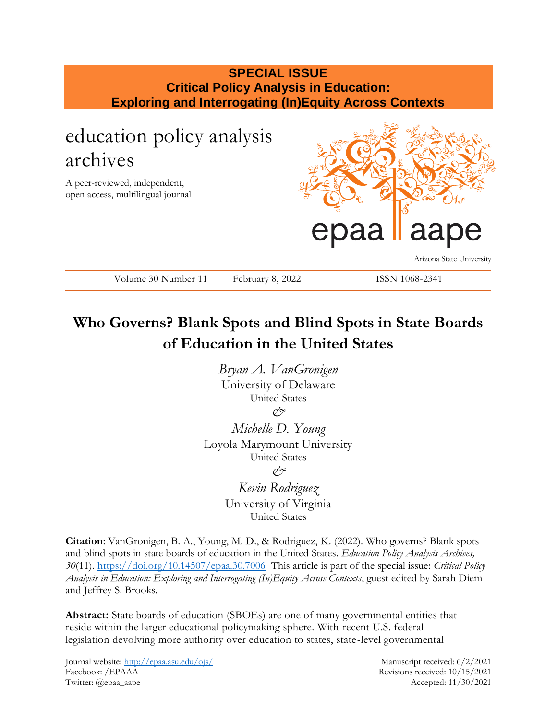## **SPECIAL ISSUE Critical Policy Analysis in Education: Exploring and Interrogating (In)Equity Across Contexts**

# education policy analysis archives

A peer-reviewed, independent, open access, multilingual journal



Arizona State University

Volume 30 Number 11 February 8, 2022 ISSN 1068-2341

## **Who Governs? Blank Spots and Blind Spots in State Boards of Education in the United States**

*Bryan A. VanGronigen* University of Delaware United States *&*

*Michelle D. Young* Loyola Marymount University United States *&*

> *Kevin Rodriguez* University of Virginia United States

**Citation**: VanGronigen, B. A., Young, M. D., & Rodriguez, K. (2022). Who governs? Blank spots and blind spots in state boards of education in the United States. *Education Policy Analysis Archives, 30*(11).<https://doi.org/10.14507/epaa.30.7006>This article is part of the special issue: *Critical Policy Analysis in Education: Exploring and Interrogating (In)Equity Across Contexts*, guest edited by Sarah Diem and Jeffrey S. Brooks.

**Abstract:** State boards of education (SBOEs) are one of many governmental entities that reside within the larger educational policymaking sphere. With recent U.S. federal legislation devolving more authority over education to states, state-level governmental

Journal website:<http://epaa.asu.edu/ojs/> Manuscript received: 6/2/2021 Facebook: /EPAAA Revisions received: 10/15/2021 Twitter: @epaa\_aape Accepted: 11/30/2021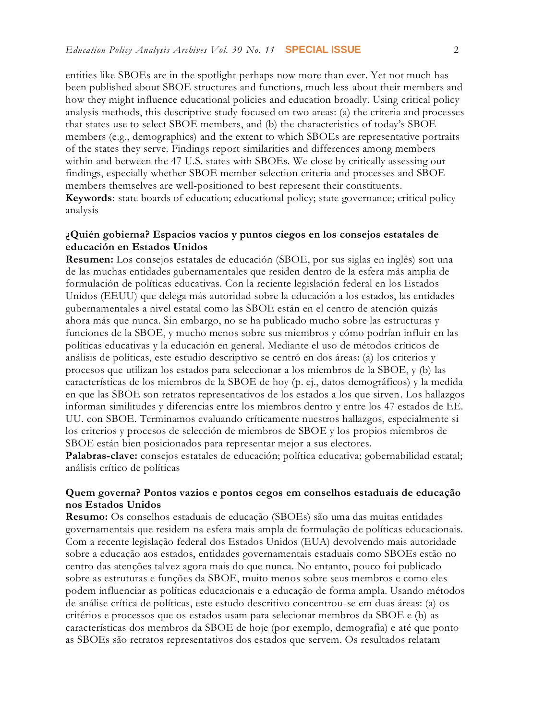entities like SBOEs are in the spotlight perhaps now more than ever. Yet not much has been published about SBOE structures and functions, much less about their members and how they might influence educational policies and education broadly. Using critical policy analysis methods, this descriptive study focused on two areas: (a) the criteria and processes that states use to select SBOE members, and (b) the characteristics of today's SBOE members (e.g., demographics) and the extent to which SBOEs are representative portraits of the states they serve. Findings report similarities and differences among members within and between the 47 U.S. states with SBOEs. We close by critically assessing our findings, especially whether SBOE member selection criteria and processes and SBOE members themselves are well-positioned to best represent their constituents. **Keywords**: state boards of education; educational policy; state governance; critical policy analysis

#### **¿Quién gobierna? Espacios vacíos y puntos ciegos en los consejos estatales de educación en Estados Unidos**

**Resumen:** Los consejos estatales de educación (SBOE, por sus siglas en inglés) son una de las muchas entidades gubernamentales que residen dentro de la esfera más amplia de formulación de políticas educativas. Con la reciente legislación federal en los Estados Unidos (EEUU) que delega más autoridad sobre la educación a los estados, las entidades gubernamentales a nivel estatal como las SBOE están en el centro de atención quizás ahora más que nunca. Sin embargo, no se ha publicado mucho sobre las estructuras y funciones de la SBOE, y mucho menos sobre sus miembros y cómo podrían influir en las políticas educativas y la educación en general. Mediante el uso de métodos críticos de análisis de políticas, este estudio descriptivo se centró en dos áreas: (a) los criterios y procesos que utilizan los estados para seleccionar a los miembros de la SBOE, y (b) las características de los miembros de la SBOE de hoy (p. ej., datos demográficos) y la medida en que las SBOE son retratos representativos de los estados a los que sirven. Los hallazgos informan similitudes y diferencias entre los miembros dentro y entre los 47 estados de EE. UU. con SBOE. Terminamos evaluando críticamente nuestros hallazgos, especialmente si los criterios y procesos de selección de miembros de SBOE y los propios miembros de SBOE están bien posicionados para representar mejor a sus electores.

**Palabras-clave:** consejos estatales de educación; política educativa; gobernabilidad estatal; análisis crítico de políticas

#### **Quem governa? Pontos vazios e pontos cegos em conselhos estaduais de educação nos Estados Unidos**

**Resumo:** Os conselhos estaduais de educação (SBOEs) são uma das muitas entidades governamentais que residem na esfera mais ampla de formulação de políticas educacionais. Com a recente legislação federal dos Estados Unidos (EUA) devolvendo mais autoridade sobre a educação aos estados, entidades governamentais estaduais como SBOEs estão no centro das atenções talvez agora mais do que nunca. No entanto, pouco foi publicado sobre as estruturas e funções da SBOE, muito menos sobre seus membros e como eles podem influenciar as políticas educacionais e a educação de forma ampla. Usando métodos de análise crítica de políticas, este estudo descritivo concentrou-se em duas áreas: (a) os critérios e processos que os estados usam para selecionar membros da SBOE e (b) as características dos membros da SBOE de hoje (por exemplo, demografia) e até que ponto as SBOEs são retratos representativos dos estados que servem. Os resultados relatam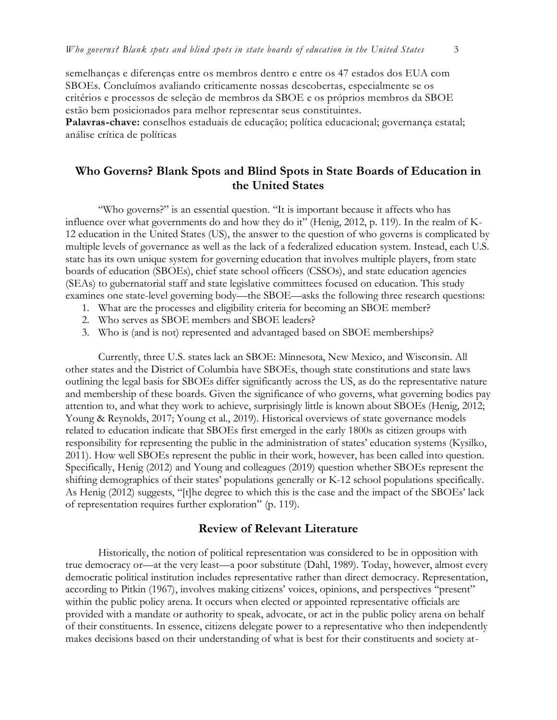semelhanças e diferenças entre os membros dentro e entre os 47 estados dos EUA com SBOEs. Concluímos avaliando criticamente nossas descobertas, especialmente se os critérios e processos de seleção de membros da SBOE e os próprios membros da SBOE estão bem posicionados para melhor representar seus constituintes.

**Palavras-chave:** conselhos estaduais de educação; política educacional; governança estatal; análise crítica de políticas

## **Who Governs? Blank Spots and Blind Spots in State Boards of Education in the United States**

"Who governs?" is an essential question. "It is important because it affects who has influence over what governments do and how they do it" (Henig, 2012, p. 119). In the realm of K-12 education in the United States (US), the answer to the question of who governs is complicated by multiple levels of governance as well as the lack of a federalized education system. Instead, each U.S. state has its own unique system for governing education that involves multiple players, from state boards of education (SBOEs), chief state school officers (CSSOs), and state education agencies (SEAs) to gubernatorial staff and state legislative committees focused on education. This study examines one state-level governing body—the SBOE—asks the following three research questions:

- 1. What are the processes and eligibility criteria for becoming an SBOE member?
- 2. Who serves as SBOE members and SBOE leaders?
- 3. Who is (and is not) represented and advantaged based on SBOE memberships?

Currently, three U.S. states lack an SBOE: Minnesota, New Mexico, and Wisconsin. All other states and the District of Columbia have SBOEs, though state constitutions and state laws outlining the legal basis for SBOEs differ significantly across the US, as do the representative nature and membership of these boards. Given the significance of who governs, what governing bodies pay attention to, and what they work to achieve, surprisingly little is known about SBOEs (Henig, 2012; Young & Reynolds, 2017; Young et al., 2019). Historical overviews of state governance models related to education indicate that SBOEs first emerged in the early 1800s as citizen groups with responsibility for representing the public in the administration of states' education systems (Kysilko, 2011). How well SBOEs represent the public in their work, however, has been called into question. Specifically, Henig (2012) and Young and colleagues (2019) question whether SBOEs represent the shifting demographics of their states' populations generally or K-12 school populations specifically. As Henig (2012) suggests, "[t]he degree to which this is the case and the impact of the SBOEs' lack of representation requires further exploration" (p. 119).

#### **Review of Relevant Literature**

Historically, the notion of political representation was considered to be in opposition with true democracy or—at the very least—a poor substitute (Dahl, 1989). Today, however, almost every democratic political institution includes representative rather than direct democracy. Representation, according to Pitkin (1967), involves making citizens' voices, opinions, and perspectives "present" within the public policy arena. It occurs when elected or appointed representative officials are provided with a mandate or authority to speak, advocate, or act in the public policy arena on behalf of their constituents. In essence, citizens delegate power to a representative who then independently makes decisions based on their understanding of what is best for their constituents and society at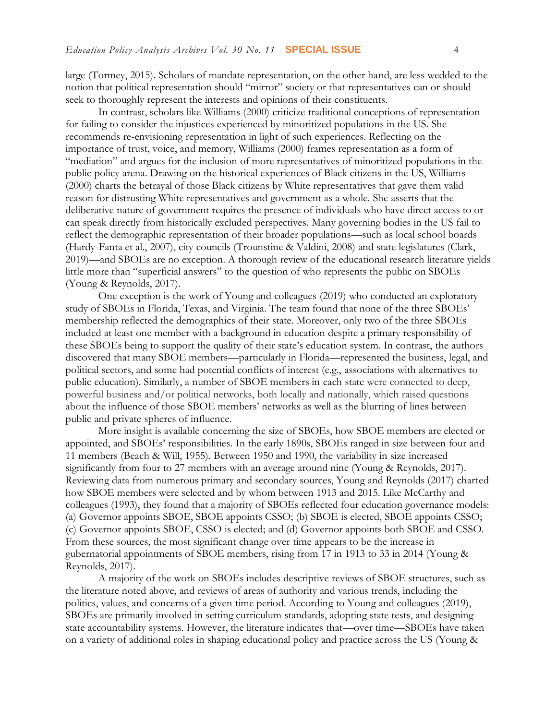large (Tormey, 2015). Scholars of mandate representation, on the other hand, are less wedded to the notion that political representation should "mirror" society or that representatives can or should seek to thoroughly represent the interests and opinions of their constituents.

In contrast, scholars like Williams (2000) criticize traditional conceptions of representation for failing to consider the injustices experienced by minoritized populations in the US. She recommends re-envisioning representation in light of such experiences. Reflecting on the importance of trust, voice, and memory, Williams (2000) frames representation as a form of "mediation" and argues for the inclusion of more representatives of minoritized populations in the public policy arena. Drawing on the historical experiences of Black citizens in the US, Williams (2000) charts the betrayal of those Black citizens by White representatives that gave them valid reason for distrusting White representatives and government as a whole. She asserts that the deliberative nature of government requires the presence of individuals who have direct access to or can speak directly from historically excluded perspectives. Many governing bodies in the US fail to reflect the demographic representation of their broader populations—such as local school boards (Hardy-Fanta et al., 2007), city councils (Trounstine & Valdini, 2008) and state legislatures (Clark, 2019)—and SBOEs are no exception. A thorough review of the educational research literature yields little more than "superficial answers" to the question of who represents the public on SBOEs (Young & Reynolds, 2017).

One exception is the work of Young and colleagues (2019) who conducted an exploratory study of SBOEs in Florida, Texas, and Virginia. The team found that none of the three SBOEs' membership reflected the demographics of their state. Moreover, only two of the three SBOEs included at least one member with a background in education despite a primary responsibility of these SBOEs being to support the quality of their state's education system. In contrast, the authors discovered that many SBOE members—particularly in Florida—represented the business, legal, and political sectors, and some had potential conflicts of interest (e.g., associations with alternatives to public education). Similarly, a number of SBOE members in each state were connected to deep, powerful business and/or political networks, both locally and nationally, which raised questions about the influence of those SBOE members' networks as well as the blurring of lines between public and private spheres of influence.

More insight is available concerning the size of SBOEs, how SBOE members are elected or appointed, and SBOEs' responsibilities. In the early 1890s, SBOEs ranged in size between four and 11 members (Beach & Will, 1955). Between 1950 and 1990, the variability in size increased significantly from four to 27 members with an average around nine (Young & Reynolds, 2017). Reviewing data from numerous primary and secondary sources, Young and Reynolds (2017) charted how SBOE members were selected and by whom between 1913 and 2015. Like McCarthy and colleagues (1993), they found that a majority of SBOEs reflected four education governance models: (a) Governor appoints SBOE, SBOE appoints CSSO; (b) SBOE is elected, SBOE appoints CSSO; (c) Governor appoints SBOE, CSSO is elected; and (d) Governor appoints both SBOE and CSSO. From these sources, the most significant change over time appears to be the increase in gubernatorial appointments of SBOE members, rising from 17 in 1913 to 33 in 2014 (Young & Reynolds, 2017).

A majority of the work on SBOEs includes descriptive reviews of SBOE structures, such as the literature noted above, and reviews of areas of authority and various trends, including the politics, values, and concerns of a given time period. According to Young and colleagues (2019), SBOEs are primarily involved in setting curriculum standards, adopting state tests, and designing state accountability systems. However, the literature indicates that—over time—SBOEs have taken on a variety of additional roles in shaping educational policy and practice across the US (Young &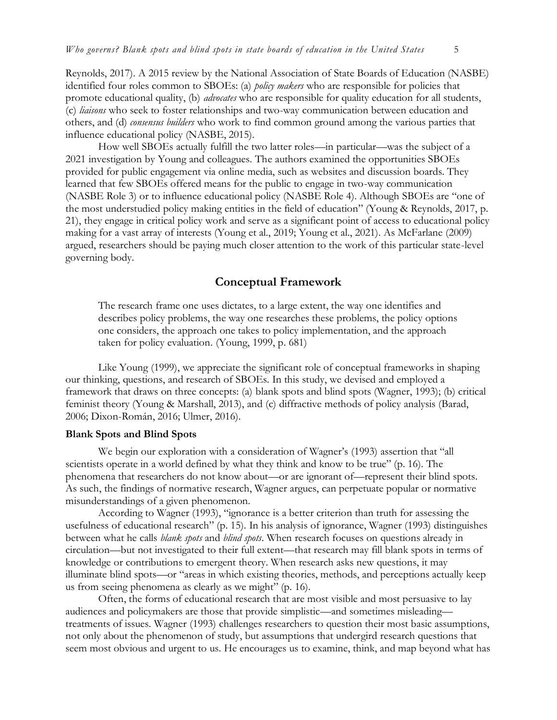Reynolds, 2017). A 2015 review by the National Association of State Boards of Education (NASBE) identified four roles common to SBOEs: (a) *policy makers* who are responsible for policies that promote educational quality, (b) *advocates* who are responsible for quality education for all students, (c) *liaisons* who seek to foster relationships and two-way communication between education and others, and (d) *consensus builders* who work to find common ground among the various parties that influence educational policy (NASBE, 2015).

How well SBOEs actually fulfill the two latter roles—in particular—was the subject of a 2021 investigation by Young and colleagues. The authors examined the opportunities SBOEs provided for public engagement via online media, such as websites and discussion boards. They learned that few SBOEs offered means for the public to engage in two-way communication (NASBE Role 3) or to influence educational policy (NASBE Role 4). Although SBOEs are "one of the most understudied policy making entities in the field of education" (Young & Reynolds, 2017, p. 21), they engage in critical policy work and serve as a significant point of access to educational policy making for a vast array of interests (Young et al., 2019; Young et al., 2021). As McFarlane (2009) argued, researchers should be paying much closer attention to the work of this particular state-level governing body.

## **Conceptual Framework**

The research frame one uses dictates, to a large extent, the way one identifies and describes policy problems, the way one researches these problems, the policy options one considers, the approach one takes to policy implementation, and the approach taken for policy evaluation. (Young, 1999, p. 681)

Like Young (1999), we appreciate the significant role of conceptual frameworks in shaping our thinking, questions, and research of SBOEs. In this study, we devised and employed a framework that draws on three concepts: (a) blank spots and blind spots (Wagner, 1993); (b) critical feminist theory (Young & Marshall, 2013), and (c) diffractive methods of policy analysis (Barad, 2006; Dixon-Román, 2016; Ulmer, 2016).

#### **Blank Spots and Blind Spots**

We begin our exploration with a consideration of Wagner's (1993) assertion that "all scientists operate in a world defined by what they think and know to be true" (p. 16). The phenomena that researchers do not know about—or are ignorant of—represent their blind spots. As such, the findings of normative research, Wagner argues, can perpetuate popular or normative misunderstandings of a given phenomenon.

According to Wagner (1993), "ignorance is a better criterion than truth for assessing the usefulness of educational research" (p. 15). In his analysis of ignorance, Wagner (1993) distinguishes between what he calls *blank spots* and *blind spots*. When research focuses on questions already in circulation—but not investigated to their full extent—that research may fill blank spots in terms of knowledge or contributions to emergent theory. When research asks new questions, it may illuminate blind spots—or "areas in which existing theories, methods, and perceptions actually keep us from seeing phenomena as clearly as we might" (p. 16).

Often, the forms of educational research that are most visible and most persuasive to lay audiences and policymakers are those that provide simplistic—and sometimes misleading treatments of issues. Wagner (1993) challenges researchers to question their most basic assumptions, not only about the phenomenon of study, but assumptions that undergird research questions that seem most obvious and urgent to us. He encourages us to examine, think, and map beyond what has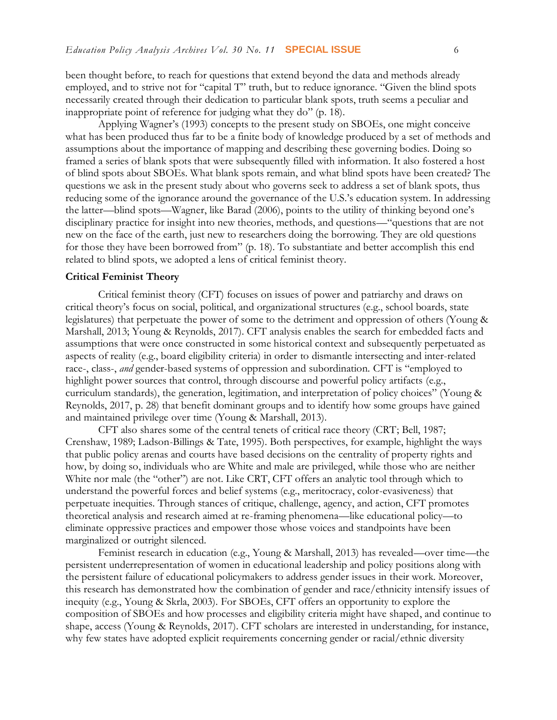been thought before, to reach for questions that extend beyond the data and methods already employed, and to strive not for "capital T" truth, but to reduce ignorance. "Given the blind spots necessarily created through their dedication to particular blank spots, truth seems a peculiar and inappropriate point of reference for judging what they do" (p. 18).

Applying Wagner's (1993) concepts to the present study on SBOEs, one might conceive what has been produced thus far to be a finite body of knowledge produced by a set of methods and assumptions about the importance of mapping and describing these governing bodies. Doing so framed a series of blank spots that were subsequently filled with information. It also fostered a host of blind spots about SBOEs. What blank spots remain, and what blind spots have been created? The questions we ask in the present study about who governs seek to address a set of blank spots, thus reducing some of the ignorance around the governance of the U.S.'s education system. In addressing the latter—blind spots—Wagner, like Barad (2006), points to the utility of thinking beyond one's disciplinary practice for insight into new theories, methods, and questions—"questions that are not new on the face of the earth, just new to researchers doing the borrowing. They are old questions for those they have been borrowed from" (p. 18). To substantiate and better accomplish this end related to blind spots, we adopted a lens of critical feminist theory.

#### **Critical Feminist Theory**

Critical feminist theory (CFT) focuses on issues of power and patriarchy and draws on critical theory's focus on social, political, and organizational structures (e.g., school boards, state legislatures) that perpetuate the power of some to the detriment and oppression of others (Young & Marshall, 2013; Young & Reynolds, 2017). CFT analysis enables the search for embedded facts and assumptions that were once constructed in some historical context and subsequently perpetuated as aspects of reality (e.g., board eligibility criteria) in order to dismantle intersecting and inter-related race-, class-, *and* gender-based systems of oppression and subordination. CFT is "employed to highlight power sources that control, through discourse and powerful policy artifacts (e.g., curriculum standards), the generation, legitimation, and interpretation of policy choices" (Young & Reynolds, 2017, p. 28) that benefit dominant groups and to identify how some groups have gained and maintained privilege over time (Young & Marshall, 2013).

CFT also shares some of the central tenets of critical race theory (CRT; Bell, 1987; Crenshaw, 1989; Ladson-Billings & Tate, 1995). Both perspectives, for example, highlight the ways that public policy arenas and courts have based decisions on the centrality of property rights and how, by doing so, individuals who are White and male are privileged, while those who are neither White nor male (the "other") are not. Like CRT, CFT offers an analytic tool through which to understand the powerful forces and belief systems (e.g., meritocracy, color-evasiveness) that perpetuate inequities. Through stances of critique, challenge, agency, and action, CFT promotes theoretical analysis and research aimed at re-framing phenomena—like educational policy—to eliminate oppressive practices and empower those whose voices and standpoints have been marginalized or outright silenced.

Feminist research in education (e.g., Young & Marshall, 2013) has revealed—over time—the persistent underrepresentation of women in educational leadership and policy positions along with the persistent failure of educational policymakers to address gender issues in their work. Moreover, this research has demonstrated how the combination of gender and race/ethnicity intensify issues of inequity (e.g., Young & Skrla, 2003). For SBOEs, CFT offers an opportunity to explore the composition of SBOEs and how processes and eligibility criteria might have shaped, and continue to shape, access (Young & Reynolds, 2017). CFT scholars are interested in understanding, for instance, why few states have adopted explicit requirements concerning gender or racial/ethnic diversity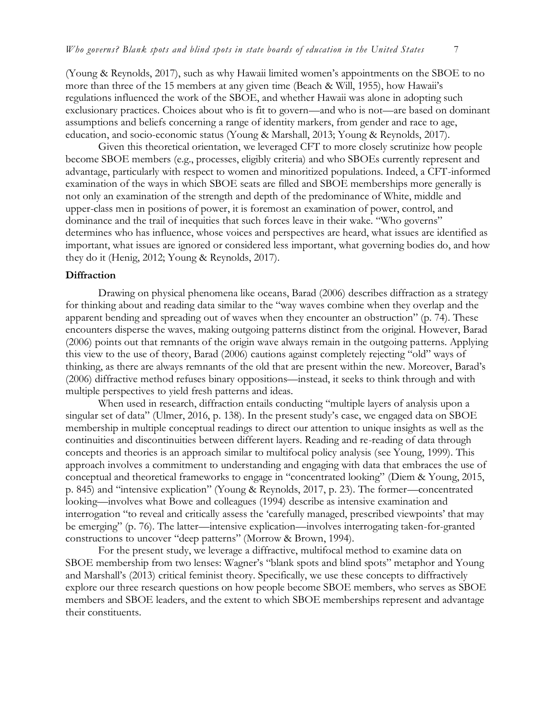(Young & Reynolds, 2017), such as why Hawaii limited women's appointments on the SBOE to no more than three of the 15 members at any given time (Beach & Will, 1955), how Hawaii's regulations influenced the work of the SBOE, and whether Hawaii was alone in adopting such exclusionary practices. Choices about who is fit to govern—and who is not—are based on dominant assumptions and beliefs concerning a range of identity markers, from gender and race to age, education, and socio-economic status (Young & Marshall, 2013; Young & Reynolds, 2017).

Given this theoretical orientation, we leveraged CFT to more closely scrutinize how people become SBOE members (e.g., processes, eligibly criteria) and who SBOEs currently represent and advantage, particularly with respect to women and minoritized populations. Indeed, a CFT-informed examination of the ways in which SBOE seats are filled and SBOE memberships more generally is not only an examination of the strength and depth of the predominance of White, middle and upper-class men in positions of power, it is foremost an examination of power, control, and dominance and the trail of inequities that such forces leave in their wake. "Who governs" determines who has influence, whose voices and perspectives are heard, what issues are identified as important, what issues are ignored or considered less important, what governing bodies do, and how they do it (Henig, 2012; Young & Reynolds, 2017).

#### **Diffraction**

Drawing on physical phenomena like oceans, Barad (2006) describes diffraction as a strategy for thinking about and reading data similar to the "way waves combine when they overlap and the apparent bending and spreading out of waves when they encounter an obstruction" (p. 74). These encounters disperse the waves, making outgoing patterns distinct from the original. However, Barad (2006) points out that remnants of the origin wave always remain in the outgoing patterns. Applying this view to the use of theory, Barad (2006) cautions against completely rejecting "old" ways of thinking, as there are always remnants of the old that are present within the new. Moreover, Barad's (2006) diffractive method refuses binary oppositions—instead, it seeks to think through and with multiple perspectives to yield fresh patterns and ideas.

When used in research, diffraction entails conducting "multiple layers of analysis upon a singular set of data" (Ulmer, 2016, p. 138). In the present study's case, we engaged data on SBOE membership in multiple conceptual readings to direct our attention to unique insights as well as the continuities and discontinuities between different layers. Reading and re-reading of data through concepts and theories is an approach similar to multifocal policy analysis (see Young, 1999). This approach involves a commitment to understanding and engaging with data that embraces the use of conceptual and theoretical frameworks to engage in "concentrated looking" (Diem & Young, 2015, p. 845) and "intensive explication" (Young & Reynolds, 2017, p. 23). The former—concentrated looking—involves what Bowe and colleagues (1994) describe as intensive examination and interrogation "to reveal and critically assess the 'carefully managed, prescribed viewpoints' that may be emerging" (p. 76). The latter—intensive explication—involves interrogating taken-for-granted constructions to uncover "deep patterns" (Morrow & Brown, 1994).

For the present study, we leverage a diffractive, multifocal method to examine data on SBOE membership from two lenses: Wagner's "blank spots and blind spots" metaphor and Young and Marshall's (2013) critical feminist theory. Specifically, we use these concepts to diffractively explore our three research questions on how people become SBOE members, who serves as SBOE members and SBOE leaders, and the extent to which SBOE memberships represent and advantage their constituents.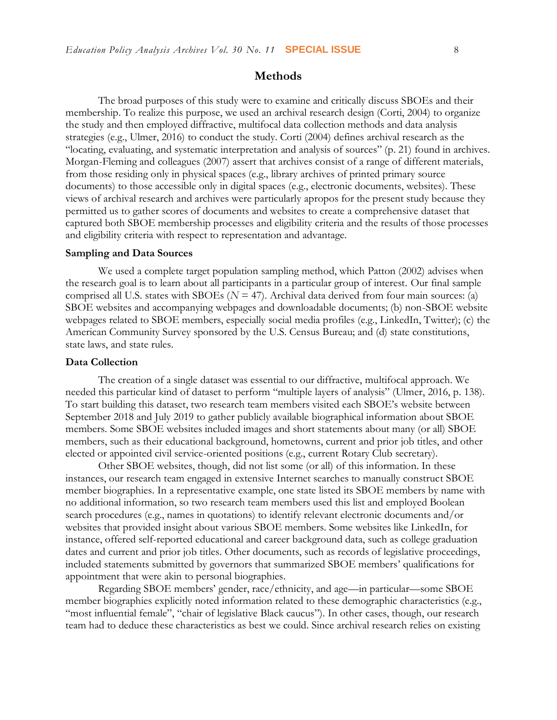#### **Methods**

The broad purposes of this study were to examine and critically discuss SBOEs and their membership. To realize this purpose, we used an archival research design (Corti, 2004) to organize the study and then employed diffractive, multifocal data collection methods and data analysis strategies (e.g., Ulmer, 2016) to conduct the study. Corti (2004) defines archival research as the "locating, evaluating, and systematic interpretation and analysis of sources" (p. 21) found in archives. Morgan-Fleming and colleagues (2007) assert that archives consist of a range of different materials, from those residing only in physical spaces (e.g., library archives of printed primary source documents) to those accessible only in digital spaces (e.g., electronic documents, websites). These views of archival research and archives were particularly apropos for the present study because they permitted us to gather scores of documents and websites to create a comprehensive dataset that captured both SBOE membership processes and eligibility criteria and the results of those processes and eligibility criteria with respect to representation and advantage.

#### **Sampling and Data Sources**

We used a complete target population sampling method, which Patton (2002) advises when the research goal is to learn about all participants in a particular group of interest. Our final sample comprised all U.S. states with SBOEs ( $N = 47$ ). Archival data derived from four main sources: (a) SBOE websites and accompanying webpages and downloadable documents; (b) non-SBOE website webpages related to SBOE members, especially social media profiles (e.g., LinkedIn, Twitter); (c) the American Community Survey sponsored by the U.S. Census Bureau; and (d) state constitutions, state laws, and state rules.

#### **Data Collection**

The creation of a single dataset was essential to our diffractive, multifocal approach. We needed this particular kind of dataset to perform "multiple layers of analysis" (Ulmer, 2016, p. 138). To start building this dataset, two research team members visited each SBOE's website between September 2018 and July 2019 to gather publicly available biographical information about SBOE members. Some SBOE websites included images and short statements about many (or all) SBOE members, such as their educational background, hometowns, current and prior job titles, and other elected or appointed civil service-oriented positions (e.g., current Rotary Club secretary).

Other SBOE websites, though, did not list some (or all) of this information. In these instances, our research team engaged in extensive Internet searches to manually construct SBOE member biographies. In a representative example, one state listed its SBOE members by name with no additional information, so two research team members used this list and employed Boolean search procedures (e.g., names in quotations) to identify relevant electronic documents and/or websites that provided insight about various SBOE members. Some websites like LinkedIn, for instance, offered self-reported educational and career background data, such as college graduation dates and current and prior job titles. Other documents, such as records of legislative proceedings, included statements submitted by governors that summarized SBOE members' qualifications for appointment that were akin to personal biographies.

Regarding SBOE members' gender, race/ethnicity, and age—in particular—some SBOE member biographies explicitly noted information related to these demographic characteristics (e.g., "most influential female", "chair of legislative Black caucus"). In other cases, though, our research team had to deduce these characteristics as best we could. Since archival research relies on existing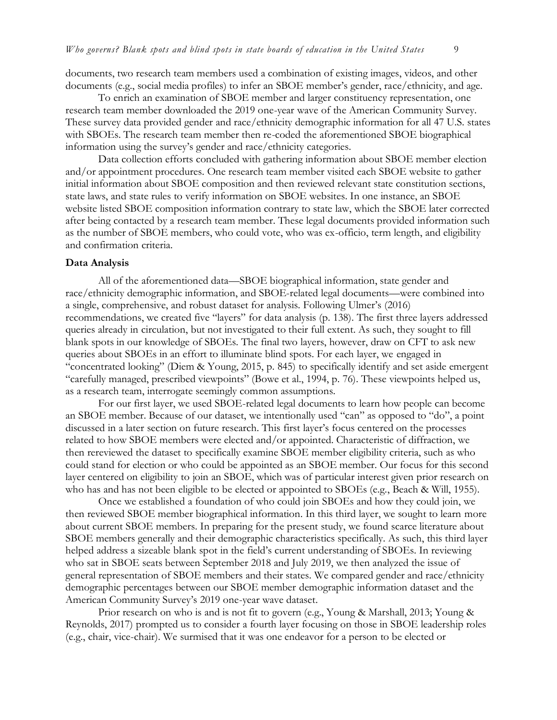documents, two research team members used a combination of existing images, videos, and other documents (e.g., social media profiles) to infer an SBOE member's gender, race/ethnicity, and age.

To enrich an examination of SBOE member and larger constituency representation, one research team member downloaded the 2019 one-year wave of the American Community Survey. These survey data provided gender and race/ethnicity demographic information for all 47 U.S. states with SBOEs. The research team member then re-coded the aforementioned SBOE biographical information using the survey's gender and race/ethnicity categories.

Data collection efforts concluded with gathering information about SBOE member election and/or appointment procedures. One research team member visited each SBOE website to gather initial information about SBOE composition and then reviewed relevant state constitution sections, state laws, and state rules to verify information on SBOE websites. In one instance, an SBOE website listed SBOE composition information contrary to state law, which the SBOE later corrected after being contacted by a research team member. These legal documents provided information such as the number of SBOE members, who could vote, who was ex-officio, term length, and eligibility and confirmation criteria.

#### **Data Analysis**

All of the aforementioned data—SBOE biographical information, state gender and race/ethnicity demographic information, and SBOE-related legal documents—were combined into a single, comprehensive, and robust dataset for analysis. Following Ulmer's (2016) recommendations, we created five "layers" for data analysis (p. 138). The first three layers addressed queries already in circulation, but not investigated to their full extent. As such, they sought to fill blank spots in our knowledge of SBOEs. The final two layers, however, draw on CFT to ask new queries about SBOEs in an effort to illuminate blind spots. For each layer, we engaged in "concentrated looking" (Diem & Young, 2015, p. 845) to specifically identify and set aside emergent "carefully managed, prescribed viewpoints" (Bowe et al., 1994, p. 76). These viewpoints helped us, as a research team, interrogate seemingly common assumptions.

For our first layer, we used SBOE-related legal documents to learn how people can become an SBOE member. Because of our dataset, we intentionally used "can" as opposed to "do", a point discussed in a later section on future research. This first layer's focus centered on the processes related to how SBOE members were elected and/or appointed. Characteristic of diffraction, we then rereviewed the dataset to specifically examine SBOE member eligibility criteria, such as who could stand for election or who could be appointed as an SBOE member. Our focus for this second layer centered on eligibility to join an SBOE, which was of particular interest given prior research on who has and has not been eligible to be elected or appointed to SBOEs (e.g., Beach & Will, 1955).

Once we established a foundation of who could join SBOEs and how they could join, we then reviewed SBOE member biographical information. In this third layer, we sought to learn more about current SBOE members. In preparing for the present study, we found scarce literature about SBOE members generally and their demographic characteristics specifically. As such, this third layer helped address a sizeable blank spot in the field's current understanding of SBOEs. In reviewing who sat in SBOE seats between September 2018 and July 2019, we then analyzed the issue of general representation of SBOE members and their states. We compared gender and race/ethnicity demographic percentages between our SBOE member demographic information dataset and the American Community Survey's 2019 one-year wave dataset.

Prior research on who is and is not fit to govern (e.g., Young & Marshall, 2013; Young & Reynolds, 2017) prompted us to consider a fourth layer focusing on those in SBOE leadership roles (e.g., chair, vice-chair). We surmised that it was one endeavor for a person to be elected or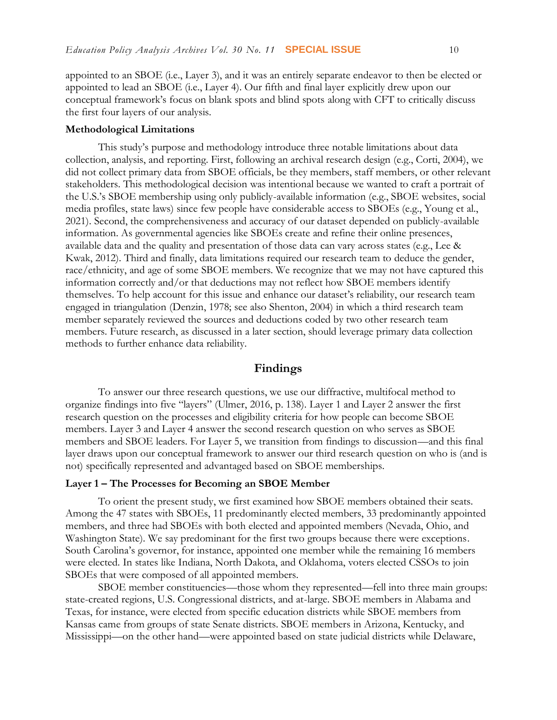appointed to an SBOE (i.e., Layer 3), and it was an entirely separate endeavor to then be elected or appointed to lead an SBOE (i.e., Layer 4). Our fifth and final layer explicitly drew upon our conceptual framework's focus on blank spots and blind spots along with CFT to critically discuss the first four layers of our analysis.

#### **Methodological Limitations**

This study's purpose and methodology introduce three notable limitations about data collection, analysis, and reporting. First, following an archival research design (e.g., Corti, 2004), we did not collect primary data from SBOE officials, be they members, staff members, or other relevant stakeholders. This methodological decision was intentional because we wanted to craft a portrait of the U.S.'s SBOE membership using only publicly-available information (e.g., SBOE websites, social media profiles, state laws) since few people have considerable access to SBOEs (e.g., Young et al., 2021). Second, the comprehensiveness and accuracy of our dataset depended on publicly-available information. As governmental agencies like SBOEs create and refine their online presences, available data and the quality and presentation of those data can vary across states (e.g., Lee & Kwak, 2012). Third and finally, data limitations required our research team to deduce the gender, race/ethnicity, and age of some SBOE members. We recognize that we may not have captured this information correctly and/or that deductions may not reflect how SBOE members identify themselves. To help account for this issue and enhance our dataset's reliability, our research team engaged in triangulation (Denzin, 1978; see also Shenton, 2004) in which a third research team member separately reviewed the sources and deductions coded by two other research team members. Future research, as discussed in a later section, should leverage primary data collection methods to further enhance data reliability.

#### **Findings**

To answer our three research questions, we use our diffractive, multifocal method to organize findings into five "layers" (Ulmer, 2016, p. 138). Layer 1 and Layer 2 answer the first research question on the processes and eligibility criteria for how people can become SBOE members. Layer 3 and Layer 4 answer the second research question on who serves as SBOE members and SBOE leaders. For Layer 5, we transition from findings to discussion—and this final layer draws upon our conceptual framework to answer our third research question on who is (and is not) specifically represented and advantaged based on SBOE memberships.

#### **Layer 1 – The Processes for Becoming an SBOE Member**

To orient the present study, we first examined how SBOE members obtained their seats. Among the 47 states with SBOEs, 11 predominantly elected members, 33 predominantly appointed members, and three had SBOEs with both elected and appointed members (Nevada, Ohio, and Washington State). We say predominant for the first two groups because there were exceptions. South Carolina's governor, for instance, appointed one member while the remaining 16 members were elected. In states like Indiana, North Dakota, and Oklahoma, voters elected CSSOs to join SBOEs that were composed of all appointed members.

SBOE member constituencies—those whom they represented—fell into three main groups: state-created regions, U.S. Congressional districts, and at-large. SBOE members in Alabama and Texas, for instance, were elected from specific education districts while SBOE members from Kansas came from groups of state Senate districts. SBOE members in Arizona, Kentucky, and Mississippi—on the other hand—were appointed based on state judicial districts while Delaware,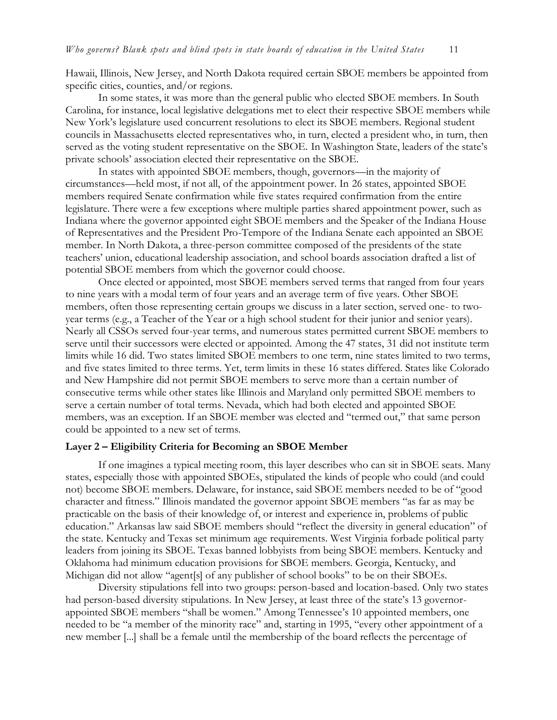Hawaii, Illinois, New Jersey, and North Dakota required certain SBOE members be appointed from specific cities, counties, and/or regions.

In some states, it was more than the general public who elected SBOE members. In South Carolina, for instance, local legislative delegations met to elect their respective SBOE members while New York's legislature used concurrent resolutions to elect its SBOE members. Regional student councils in Massachusetts elected representatives who, in turn, elected a president who, in turn, then served as the voting student representative on the SBOE. In Washington State, leaders of the state's private schools' association elected their representative on the SBOE.

In states with appointed SBOE members, though, governors—in the majority of circumstances—held most, if not all, of the appointment power. In 26 states, appointed SBOE members required Senate confirmation while five states required confirmation from the entire legislature. There were a few exceptions where multiple parties shared appointment power, such as Indiana where the governor appointed eight SBOE members and the Speaker of the Indiana House of Representatives and the President Pro-Tempore of the Indiana Senate each appointed an SBOE member. In North Dakota, a three-person committee composed of the presidents of the state teachers' union, educational leadership association, and school boards association drafted a list of potential SBOE members from which the governor could choose.

Once elected or appointed, most SBOE members served terms that ranged from four years to nine years with a modal term of four years and an average term of five years. Other SBOE members, often those representing certain groups we discuss in a later section, served one- to twoyear terms (e.g., a Teacher of the Year or a high school student for their junior and senior years). Nearly all CSSOs served four-year terms, and numerous states permitted current SBOE members to serve until their successors were elected or appointed. Among the 47 states, 31 did not institute term limits while 16 did. Two states limited SBOE members to one term, nine states limited to two terms, and five states limited to three terms. Yet, term limits in these 16 states differed. States like Colorado and New Hampshire did not permit SBOE members to serve more than a certain number of consecutive terms while other states like Illinois and Maryland only permitted SBOE members to serve a certain number of total terms. Nevada, which had both elected and appointed SBOE members, was an exception. If an SBOE member was elected and "termed out," that same person could be appointed to a new set of terms.

#### **Layer 2 – Eligibility Criteria for Becoming an SBOE Member**

If one imagines a typical meeting room, this layer describes who can sit in SBOE seats. Many states, especially those with appointed SBOEs, stipulated the kinds of people who could (and could not) become SBOE members. Delaware, for instance, said SBOE members needed to be of "good character and fitness." Illinois mandated the governor appoint SBOE members "as far as may be practicable on the basis of their knowledge of, or interest and experience in, problems of public education." Arkansas law said SBOE members should "reflect the diversity in general education" of the state. Kentucky and Texas set minimum age requirements. West Virginia forbade political party leaders from joining its SBOE. Texas banned lobbyists from being SBOE members. Kentucky and Oklahoma had minimum education provisions for SBOE members. Georgia, Kentucky, and Michigan did not allow "agent[s] of any publisher of school books" to be on their SBOEs.

Diversity stipulations fell into two groups: person-based and location-based. Only two states had person-based diversity stipulations. In New Jersey, at least three of the state's 13 governorappointed SBOE members "shall be women." Among Tennessee's 10 appointed members, one needed to be "a member of the minority race" and, starting in 1995, "every other appointment of a new member [...] shall be a female until the membership of the board reflects the percentage of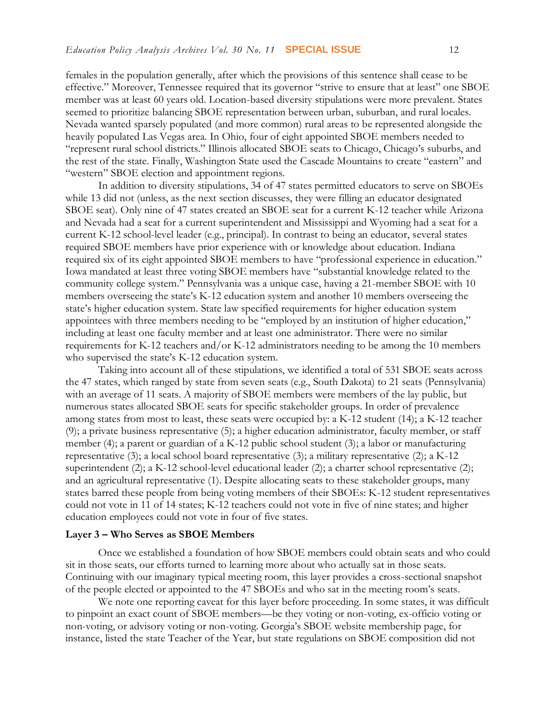females in the population generally, after which the provisions of this sentence shall cease to be effective." Moreover, Tennessee required that its governor "strive to ensure that at least" one SBOE member was at least 60 years old. Location-based diversity stipulations were more prevalent. States seemed to prioritize balancing SBOE representation between urban, suburban, and rural locales. Nevada wanted sparsely populated (and more common) rural areas to be represented alongside the heavily populated Las Vegas area. In Ohio, four of eight appointed SBOE members needed to "represent rural school districts." Illinois allocated SBOE seats to Chicago, Chicago's suburbs, and the rest of the state. Finally, Washington State used the Cascade Mountains to create "eastern" and "western" SBOE election and appointment regions.

In addition to diversity stipulations, 34 of 47 states permitted educators to serve on SBOEs while 13 did not (unless, as the next section discusses, they were filling an educator designated SBOE seat). Only nine of 47 states created an SBOE seat for a current K-12 teacher while Arizona and Nevada had a seat for a current superintendent and Mississippi and Wyoming had a seat for a current K-12 school-level leader (e.g., principal). In contrast to being an educator, several states required SBOE members have prior experience with or knowledge about education. Indiana required six of its eight appointed SBOE members to have "professional experience in education." Iowa mandated at least three voting SBOE members have "substantial knowledge related to the community college system." Pennsylvania was a unique case, having a 21-member SBOE with 10 members overseeing the state's K-12 education system and another 10 members overseeing the state's higher education system. State law specified requirements for higher education system appointees with three members needing to be "employed by an institution of higher education," including at least one faculty member and at least one administrator. There were no similar requirements for K-12 teachers and/or K-12 administrators needing to be among the 10 members who supervised the state's K-12 education system.

Taking into account all of these stipulations, we identified a total of 531 SBOE seats across the 47 states, which ranged by state from seven seats (e.g., South Dakota) to 21 seats (Pennsylvania) with an average of 11 seats. A majority of SBOE members were members of the lay public, but numerous states allocated SBOE seats for specific stakeholder groups. In order of prevalence among states from most to least, these seats were occupied by: a K-12 student (14); a K-12 teacher (9); a private business representative (5); a higher education administrator, faculty member, or staff member (4); a parent or guardian of a K-12 public school student (3); a labor or manufacturing representative (3); a local school board representative (3); a military representative (2); a K-12 superintendent (2); a K-12 school-level educational leader (2); a charter school representative (2); and an agricultural representative (1). Despite allocating seats to these stakeholder groups, many states barred these people from being voting members of their SBOEs: K-12 student representatives could not vote in 11 of 14 states; K-12 teachers could not vote in five of nine states; and higher education employees could not vote in four of five states.

#### **Layer 3 – Who Serves as SBOE Members**

Once we established a foundation of how SBOE members could obtain seats and who could sit in those seats, our efforts turned to learning more about who actually sat in those seats. Continuing with our imaginary typical meeting room, this layer provides a cross-sectional snapshot of the people elected or appointed to the 47 SBOEs and who sat in the meeting room's seats.

We note one reporting caveat for this layer before proceeding. In some states, it was difficult to pinpoint an exact count of SBOE members—be they voting or non-voting, ex-officio voting or non-voting, or advisory voting or non-voting. Georgia's SBOE website membership page, for instance, listed the state Teacher of the Year, but state regulations on SBOE composition did not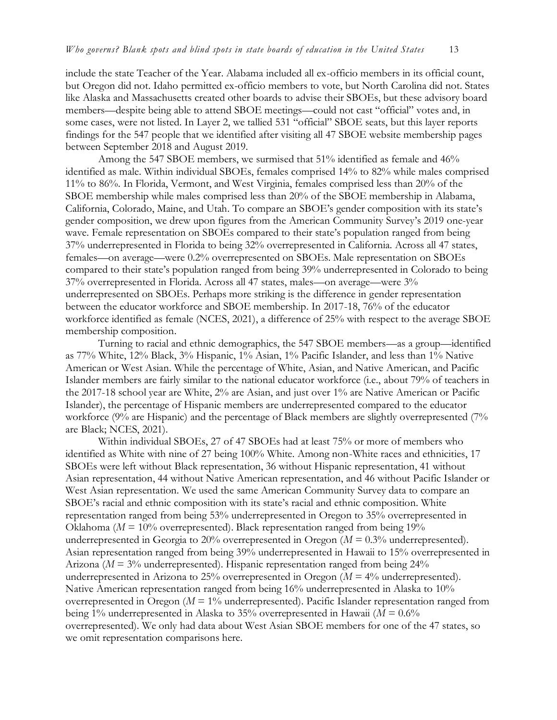include the state Teacher of the Year. Alabama included all ex-officio members in its official count, but Oregon did not. Idaho permitted ex-officio members to vote, but North Carolina did not. States like Alaska and Massachusetts created other boards to advise their SBOEs, but these advisory board members—despite being able to attend SBOE meetings—could not cast "official" votes and, in some cases, were not listed. In Layer 2, we tallied 531 "official" SBOE seats, but this layer reports findings for the 547 people that we identified after visiting all 47 SBOE website membership pages between September 2018 and August 2019.

Among the 547 SBOE members, we surmised that 51% identified as female and 46% identified as male. Within individual SBOEs, females comprised 14% to 82% while males comprised 11% to 86%. In Florida, Vermont, and West Virginia, females comprised less than 20% of the SBOE membership while males comprised less than 20% of the SBOE membership in Alabama, California, Colorado, Maine, and Utah. To compare an SBOE's gender composition with its state's gender composition, we drew upon figures from the American Community Survey's 2019 one-year wave. Female representation on SBOEs compared to their state's population ranged from being 37% underrepresented in Florida to being 32% overrepresented in California. Across all 47 states, females—on average—were 0.2% overrepresented on SBOEs. Male representation on SBOEs compared to their state's population ranged from being 39% underrepresented in Colorado to being 37% overrepresented in Florida. Across all 47 states, males—on average—were 3% underrepresented on SBOEs. Perhaps more striking is the difference in gender representation between the educator workforce and SBOE membership. In 2017-18, 76% of the educator workforce identified as female (NCES, 2021), a difference of 25% with respect to the average SBOE membership composition.

Turning to racial and ethnic demographics, the 547 SBOE members—as a group—identified as 77% White, 12% Black, 3% Hispanic, 1% Asian, 1% Pacific Islander, and less than 1% Native American or West Asian. While the percentage of White, Asian, and Native American, and Pacific Islander members are fairly similar to the national educator workforce (i.e., about 79% of teachers in the 2017-18 school year are White, 2% are Asian, and just over 1% are Native American or Pacific Islander), the percentage of Hispanic members are underrepresented compared to the educator workforce (9% are Hispanic) and the percentage of Black members are slightly overrepresented (7% are Black; NCES, 2021).

Within individual SBOEs, 27 of 47 SBOEs had at least 75% or more of members who identified as White with nine of 27 being 100% White. Among non-White races and ethnicities, 17 SBOEs were left without Black representation, 36 without Hispanic representation, 41 without Asian representation, 44 without Native American representation, and 46 without Pacific Islander or West Asian representation. We used the same American Community Survey data to compare an SBOE's racial and ethnic composition with its state's racial and ethnic composition. White representation ranged from being 53% underrepresented in Oregon to 35% overrepresented in Oklahoma ( $M = 10\%$  overrepresented). Black representation ranged from being 19% underrepresented in Georgia to 20% overrepresented in Oregon (*M* = 0.3% underrepresented). Asian representation ranged from being 39% underrepresented in Hawaii to 15% overrepresented in Arizona (*M* = 3% underrepresented). Hispanic representation ranged from being 24% underrepresented in Arizona to 25% overrepresented in Oregon (*M* = 4% underrepresented). Native American representation ranged from being 16% underrepresented in Alaska to 10% overrepresented in Oregon ( $M = 1\%$  underrepresented). Pacific Islander representation ranged from being 1% underrepresented in Alaska to 35% overrepresented in Hawaii (*M* = 0.6% overrepresented). We only had data about West Asian SBOE members for one of the 47 states, so we omit representation comparisons here.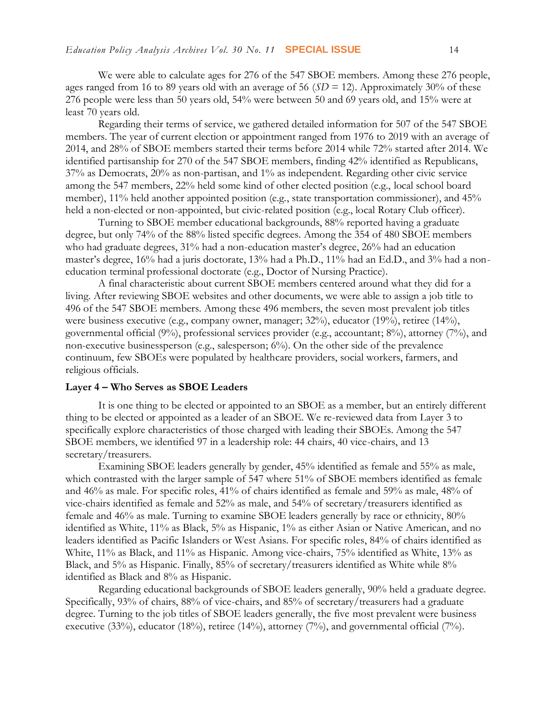We were able to calculate ages for 276 of the 547 SBOE members. Among these 276 people,

ages ranged from 16 to 89 years old with an average of 56 (*SD* = 12). Approximately 30% of these 276 people were less than 50 years old, 54% were between 50 and 69 years old, and 15% were at least 70 years old.

Regarding their terms of service, we gathered detailed information for 507 of the 547 SBOE members. The year of current election or appointment ranged from 1976 to 2019 with an average of 2014, and 28% of SBOE members started their terms before 2014 while 72% started after 2014. We identified partisanship for 270 of the 547 SBOE members, finding 42% identified as Republicans, 37% as Democrats, 20% as non-partisan, and 1% as independent. Regarding other civic service among the 547 members, 22% held some kind of other elected position (e.g., local school board member), 11% held another appointed position (e.g., state transportation commissioner), and 45% held a non-elected or non-appointed, but civic-related position (e.g., local Rotary Club officer).

Turning to SBOE member educational backgrounds, 88% reported having a graduate degree, but only 74% of the 88% listed specific degrees. Among the 354 of 480 SBOE members who had graduate degrees, 31% had a non-education master's degree, 26% had an education master's degree, 16% had a juris doctorate, 13% had a Ph.D., 11% had an Ed.D., and 3% had a noneducation terminal professional doctorate (e.g., Doctor of Nursing Practice).

A final characteristic about current SBOE members centered around what they did for a living. After reviewing SBOE websites and other documents, we were able to assign a job title to 496 of the 547 SBOE members. Among these 496 members, the seven most prevalent job titles were business executive (e.g., company owner, manager; 32%), educator (19%), retiree (14%), governmental official (9%), professional services provider (e.g., accountant; 8%), attorney (7%), and non-executive businessperson (e.g., salesperson; 6%). On the other side of the prevalence continuum, few SBOEs were populated by healthcare providers, social workers, farmers, and religious officials.

#### **Layer 4 – Who Serves as SBOE Leaders**

It is one thing to be elected or appointed to an SBOE as a member, but an entirely different thing to be elected or appointed as a leader of an SBOE. We re-reviewed data from Layer 3 to specifically explore characteristics of those charged with leading their SBOEs. Among the 547 SBOE members, we identified 97 in a leadership role: 44 chairs, 40 vice-chairs, and 13 secretary/treasurers.

Examining SBOE leaders generally by gender, 45% identified as female and 55% as male, which contrasted with the larger sample of 547 where 51% of SBOE members identified as female and 46% as male. For specific roles, 41% of chairs identified as female and 59% as male, 48% of vice-chairs identified as female and 52% as male, and 54% of secretary/treasurers identified as female and 46% as male. Turning to examine SBOE leaders generally by race or ethnicity, 80% identified as White, 11% as Black, 5% as Hispanic, 1% as either Asian or Native American, and no leaders identified as Pacific Islanders or West Asians. For specific roles, 84% of chairs identified as White, 11% as Black, and 11% as Hispanic. Among vice-chairs, 75% identified as White, 13% as Black, and 5% as Hispanic. Finally, 85% of secretary/treasurers identified as White while 8% identified as Black and 8% as Hispanic.

Regarding educational backgrounds of SBOE leaders generally, 90% held a graduate degree. Specifically, 93% of chairs, 88% of vice-chairs, and 85% of secretary/treasurers had a graduate degree. Turning to the job titles of SBOE leaders generally, the five most prevalent were business executive (33%), educator (18%), retiree (14%), attorney (7%), and governmental official (7%).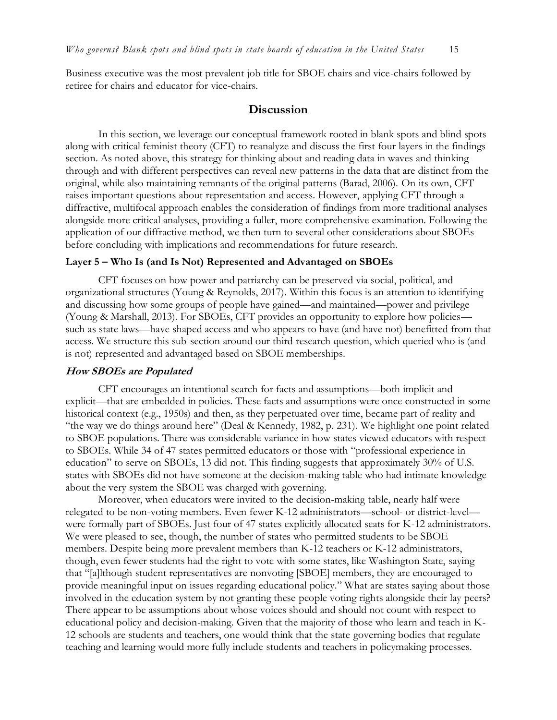Business executive was the most prevalent job title for SBOE chairs and vice-chairs followed by retiree for chairs and educator for vice-chairs.

#### **Discussion**

In this section, we leverage our conceptual framework rooted in blank spots and blind spots along with critical feminist theory (CFT) to reanalyze and discuss the first four layers in the findings section. As noted above, this strategy for thinking about and reading data in waves and thinking through and with different perspectives can reveal new patterns in the data that are distinct from the original, while also maintaining remnants of the original patterns (Barad, 2006). On its own, CFT raises important questions about representation and access. However, applying CFT through a diffractive, multifocal approach enables the consideration of findings from more traditional analyses alongside more critical analyses, providing a fuller, more comprehensive examination. Following the application of our diffractive method, we then turn to several other considerations about SBOEs before concluding with implications and recommendations for future research.

#### **Layer 5 – Who Is (and Is Not) Represented and Advantaged on SBOEs**

CFT focuses on how power and patriarchy can be preserved via social, political, and organizational structures (Young & Reynolds, 2017). Within this focus is an attention to identifying and discussing how some groups of people have gained—and maintained—power and privilege (Young & Marshall, 2013). For SBOEs, CFT provides an opportunity to explore how policies such as state laws—have shaped access and who appears to have (and have not) benefitted from that access. We structure this sub-section around our third research question, which queried who is (and is not) represented and advantaged based on SBOE memberships.

#### **How SBOEs are Populated**

CFT encourages an intentional search for facts and assumptions—both implicit and explicit—that are embedded in policies. These facts and assumptions were once constructed in some historical context (e.g., 1950s) and then, as they perpetuated over time, became part of reality and "the way we do things around here" (Deal & Kennedy, 1982, p. 231). We highlight one point related to SBOE populations. There was considerable variance in how states viewed educators with respect to SBOEs. While 34 of 47 states permitted educators or those with "professional experience in education" to serve on SBOEs, 13 did not. This finding suggests that approximately 30% of U.S. states with SBOEs did not have someone at the decision-making table who had intimate knowledge about the very system the SBOE was charged with governing.

Moreover, when educators were invited to the decision-making table, nearly half were relegated to be non-voting members. Even fewer K-12 administrators—school- or district-level were formally part of SBOEs. Just four of 47 states explicitly allocated seats for K-12 administrators. We were pleased to see, though, the number of states who permitted students to be SBOE members. Despite being more prevalent members than K-12 teachers or K-12 administrators, though, even fewer students had the right to vote with some states, like Washington State, saying that "[a]lthough student representatives are nonvoting [SBOE] members, they are encouraged to provide meaningful input on issues regarding educational policy." What are states saying about those involved in the education system by not granting these people voting rights alongside their lay peers? There appear to be assumptions about whose voices should and should not count with respect to educational policy and decision-making. Given that the majority of those who learn and teach in K-12 schools are students and teachers, one would think that the state governing bodies that regulate teaching and learning would more fully include students and teachers in policymaking processes.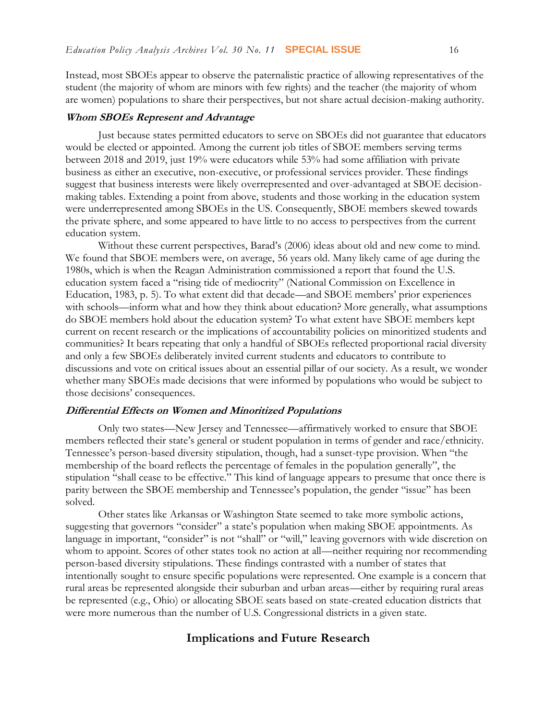Instead, most SBOEs appear to observe the paternalistic practice of allowing representatives of the student (the majority of whom are minors with few rights) and the teacher (the majority of whom are women) populations to share their perspectives, but not share actual decision-making authority.

#### **Whom SBOEs Represent and Advantage**

Just because states permitted educators to serve on SBOEs did not guarantee that educators would be elected or appointed. Among the current job titles of SBOE members serving terms between 2018 and 2019, just 19% were educators while 53% had some affiliation with private business as either an executive, non-executive, or professional services provider. These findings suggest that business interests were likely overrepresented and over-advantaged at SBOE decisionmaking tables. Extending a point from above, students and those working in the education system were underrepresented among SBOEs in the US. Consequently, SBOE members skewed towards the private sphere, and some appeared to have little to no access to perspectives from the current education system.

Without these current perspectives, Barad's (2006) ideas about old and new come to mind. We found that SBOE members were, on average, 56 years old. Many likely came of age during the 1980s, which is when the Reagan Administration commissioned a report that found the U.S. education system faced a "rising tide of mediocrity" (National Commission on Excellence in Education, 1983, p. 5). To what extent did that decade—and SBOE members' prior experiences with schools—inform what and how they think about education? More generally, what assumptions do SBOE members hold about the education system? To what extent have SBOE members kept current on recent research or the implications of accountability policies on minoritized students and communities? It bears repeating that only a handful of SBOEs reflected proportional racial diversity and only a few SBOEs deliberately invited current students and educators to contribute to discussions and vote on critical issues about an essential pillar of our society. As a result, we wonder whether many SBOEs made decisions that were informed by populations who would be subject to those decisions' consequences.

#### **Differential Effects on Women and Minoritized Populations**

Only two states—New Jersey and Tennessee—affirmatively worked to ensure that SBOE members reflected their state's general or student population in terms of gender and race/ethnicity. Tennessee's person-based diversity stipulation, though, had a sunset-type provision. When "the membership of the board reflects the percentage of females in the population generally", the stipulation "shall cease to be effective." This kind of language appears to presume that once there is parity between the SBOE membership and Tennessee's population, the gender "issue" has been solved.

Other states like Arkansas or Washington State seemed to take more symbolic actions, suggesting that governors "consider" a state's population when making SBOE appointments. As language in important, "consider" is not "shall" or "will," leaving governors with wide discretion on whom to appoint. Scores of other states took no action at all—neither requiring nor recommending person-based diversity stipulations. These findings contrasted with a number of states that intentionally sought to ensure specific populations were represented. One example is a concern that rural areas be represented alongside their suburban and urban areas—either by requiring rural areas be represented (e.g., Ohio) or allocating SBOE seats based on state-created education districts that were more numerous than the number of U.S. Congressional districts in a given state.

#### **Implications and Future Research**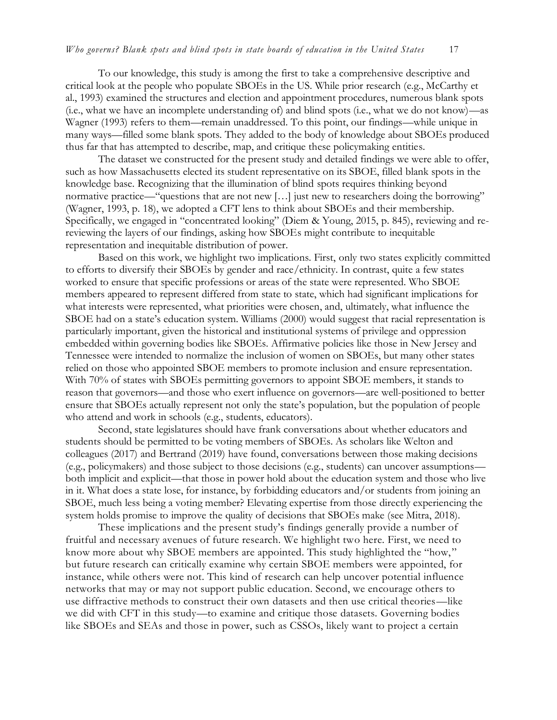To our knowledge, this study is among the first to take a comprehensive descriptive and critical look at the people who populate SBOEs in the US. While prior research (e.g., McCarthy et al., 1993) examined the structures and election and appointment procedures, numerous blank spots (i.e., what we have an incomplete understanding of) and blind spots (i.e., what we do not know)—as Wagner (1993) refers to them—remain unaddressed. To this point, our findings—while unique in many ways—filled some blank spots. They added to the body of knowledge about SBOEs produced thus far that has attempted to describe, map, and critique these policymaking entities.

The dataset we constructed for the present study and detailed findings we were able to offer, such as how Massachusetts elected its student representative on its SBOE, filled blank spots in the knowledge base. Recognizing that the illumination of blind spots requires thinking beyond normative practice—"questions that are not new […] just new to researchers doing the borrowing" (Wagner, 1993, p. 18), we adopted a CFT lens to think about SBOEs and their membership. Specifically, we engaged in "concentrated looking" (Diem & Young, 2015, p. 845), reviewing and rereviewing the layers of our findings, asking how SBOEs might contribute to inequitable representation and inequitable distribution of power.

Based on this work, we highlight two implications. First, only two states explicitly committed to efforts to diversify their SBOEs by gender and race/ethnicity. In contrast, quite a few states worked to ensure that specific professions or areas of the state were represented. Who SBOE members appeared to represent differed from state to state, which had significant implications for what interests were represented, what priorities were chosen, and, ultimately, what influence the SBOE had on a state's education system. Williams (2000) would suggest that racial representation is particularly important, given the historical and institutional systems of privilege and oppression embedded within governing bodies like SBOEs. Affirmative policies like those in New Jersey and Tennessee were intended to normalize the inclusion of women on SBOEs, but many other states relied on those who appointed SBOE members to promote inclusion and ensure representation. With 70% of states with SBOEs permitting governors to appoint SBOE members, it stands to reason that governors—and those who exert influence on governors—are well-positioned to better ensure that SBOEs actually represent not only the state's population, but the population of people who attend and work in schools (e.g., students, educators).

Second, state legislatures should have frank conversations about whether educators and students should be permitted to be voting members of SBOEs. As scholars like Welton and colleagues (2017) and Bertrand (2019) have found, conversations between those making decisions (e.g., policymakers) and those subject to those decisions (e.g., students) can uncover assumptions both implicit and explicit—that those in power hold about the education system and those who live in it. What does a state lose, for instance, by forbidding educators and/or students from joining an SBOE, much less being a voting member? Elevating expertise from those directly experiencing the system holds promise to improve the quality of decisions that SBOEs make (see Mitra, 2018).

These implications and the present study's findings generally provide a number of fruitful and necessary avenues of future research. We highlight two here. First, we need to know more about why SBOE members are appointed. This study highlighted the "how," but future research can critically examine why certain SBOE members were appointed, for instance, while others were not. This kind of research can help uncover potential influence networks that may or may not support public education. Second, we encourage others to use diffractive methods to construct their own datasets and then use critical theories—like we did with CFT in this study—to examine and critique those datasets. Governing bodies like SBOEs and SEAs and those in power, such as CSSOs, likely want to project a certain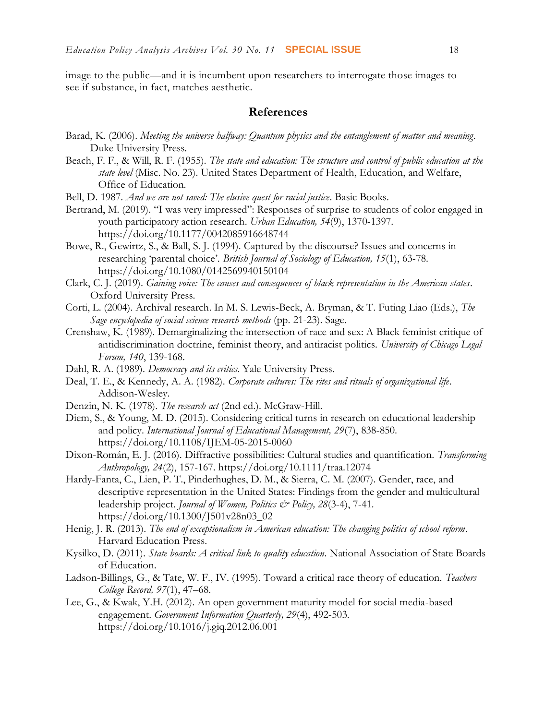image to the public—and it is incumbent upon researchers to interrogate those images to see if substance, in fact, matches aesthetic.

### **References**

- Barad, K. (2006). *Meeting the universe halfway: Quantum physics and the entanglement of matter and meaning*. Duke University Press.
- Beach, F. F., & Will, R. F. (1955)*. The state and education: The structure and control of public education at the state level* (Misc. No. 23). United States Department of Health, Education, and Welfare, Office of Education.
- Bell, D. 1987. *And we are not saved: The elusive quest for racial justice*. Basic Books.
- Bertrand, M. (2019). "I was very impressed": Responses of surprise to students of color engaged in youth participatory action research. *Urban Education, 54*(9), 1370-1397. <https://doi.org/10.1177/0042085916648744>
- Bowe, R., Gewirtz, S., & Ball, S. J. (1994). Captured by the discourse? Issues and concerns in researching 'parental choice'. *British Journal of Sociology of Education, 15*(1), 63-78. <https://doi.org/10.1080/0142569940150104>
- Clark, C. J. (2019). *Gaining voice: The causes and consequences of black representation in the American states*. Oxford University Press.
- Corti, L. (2004). Archival research. In M. S. Lewis-Beck, A. Bryman, & T. Futing Liao (Eds.), *The Sage encyclopedia of social science research methods* (pp. 21-23). Sage.
- Crenshaw, K. (1989). Demarginalizing the intersection of race and sex: A Black feminist critique of antidiscrimination doctrine, feminist theory, and antiracist politics. *University of Chicago Legal Forum, 140*, 139-168.
- Dahl, R. A. (1989). *Democracy and its critics*. Yale University Press.
- Deal, T. E., & Kennedy, A. A. (1982). *Corporate cultures: The rites and rituals of organizational life*. Addison-Wesley.
- Denzin, N. K. (1978). *The research act* (2nd ed.). McGraw-Hill.
- Diem, S., & Young, M. D. (2015). Considering critical turns in research on educational leadership and policy. *International Journal of Educational Management, 29*(7), 838-850. <https://doi.org/10.1108/IJEM-05-2015-0060>
- Dixon-Román, E. J. (2016). Diffractive possibilities: Cultural studies and quantification. *Transforming Anthropology, 24*(2), 157-167. <https://doi.org/10.1111/traa.12074>
- Hardy-Fanta, C., Lien, P. T., Pinderhughes, D. M., & Sierra, C. M. (2007). Gender, race, and descriptive representation in the United States: Findings from the gender and multicultural leadership project. *Journal of Women, Politics & Policy, 28*(3-4), 7-41. [https://doi.org/10.1300/J501v28n03\\_02](https://doi.org/10.1300/J501v28n03_02)
- Henig, J. R. (2013). *The end of exceptionalism in American education: The changing politics of school reform*. Harvard Education Press.
- Kysilko, D. (2011). *State boards: A critical link to quality education*. National Association of State Boards of Education.
- Ladson-Billings, G., & Tate, W. F., IV. (1995). Toward a critical race theory of education. *Teachers College Record, 97*(1), 47–68.
- Lee, G., & Kwak, Y.H. (2012). An open government maturity model for social media-based engagement. *Government Information Quarterly, 29*(4), 492-503. <https://doi.org/10.1016/j.giq.2012.06.001>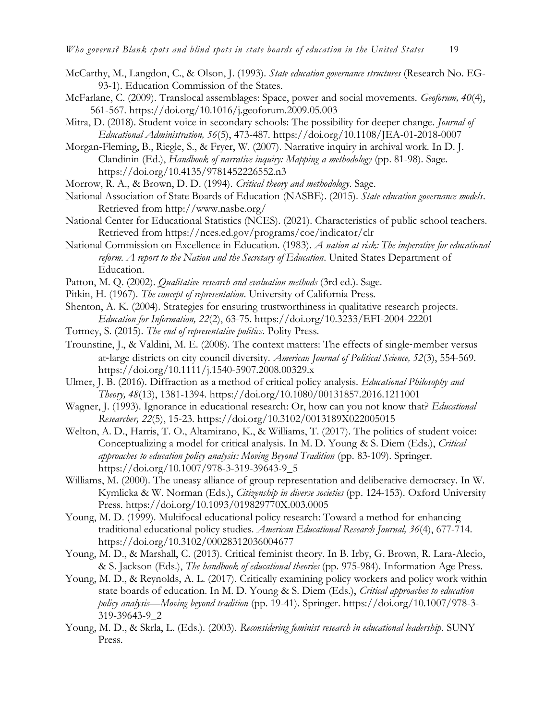- 
- McCarthy, M., Langdon, C., & Olson, J. (1993). *State education governance structures* (Research No. EG-93-1). Education Commission of the States.
- McFarlane, C. (2009). Translocal assemblages: Space, power and social movements. *Geoforum, 40*(4), 561-567.<https://doi.org/10.1016/j.geoforum.2009.05.003>
- Mitra, D. (2018). Student voice in secondary schools: The possibility for deeper change. *Journal of Educational Administration, 56*(5), 473-487.<https://doi.org/10.1108/JEA-01-2018-0007>
- Morgan-Fleming, B., Riegle, S., & Fryer, W. (2007). Narrative inquiry in archival work. In D. J. Clandinin (Ed.), *Handbook of narrative inquiry: Mapping a methodology* (pp. 81-98). Sage. <https://doi.org/10.4135/9781452226552.n3>
- Morrow, R. A., & Brown, D. D. (1994). *Critical theory and methodology*. Sage.
- National Association of State Boards of Education (NASBE). (2015). *State education governance models*. Retrieved from<http://www.nasbe.org/>
- National Center for Educational Statistics (NCES). (2021). Characteristics of public school teachers. Retrieved from https://nces.ed.gov/programs/coe/indicator/clr
- National Commission on Excellence in Education. (1983). *A nation at risk: The imperative for educational reform. A report to the Nation and the Secretary of Education*. United States Department of Education.
- Patton, M. Q. (2002). *Qualitative research and evaluation methods* (3rd ed.). Sage.
- Pitkin, H. (1967). *The concept of representation*. University of California Press.
- Shenton, A. K. (2004). Strategies for ensuring trustworthiness in qualitative research projects. *Education for Information, 22*(2), 63-75.<https://doi.org/10.3233/EFI-2004-22201>
- Tormey, S. (2015). *The end of representative politics*. Polity Press.
- Trounstine, J., & Valdini, M. E. (2008). The context matters: The effects of single-member versus at‐large districts on city council diversity. *American Journal of Political Science, 52*(3), 554-569. <https://doi.org/10.1111/j.1540-5907.2008.00329.x>
- Ulmer, J. B. (2016). Diffraction as a method of critical policy analysis. *Educational Philosophy and Theory, 48*(13), 1381-1394.<https://doi.org/10.1080/00131857.2016.1211001>
- Wagner, J. (1993). Ignorance in educational research: Or, how can you not know that? *Educational Researcher, 22*(5), 15-23.<https://doi.org/10.3102/0013189X022005015>
- Welton, A. D., Harris, T. O., Altamirano, K., & Williams, T. (2017). The politics of student voice: Conceptualizing a model for critical analysis. In M. D. Young & S. Diem (Eds.), *Critical approaches to education policy analysis: Moving Beyond Tradition* (pp. 83-109). Springer. [https://doi.org/10.1007/978-3-319-39643-9\\_5](https://doi.org/10.1007/978-3-319-39643-9_5)
- Williams, M. (2000). The uneasy alliance of group representation and deliberative democracy. In W. Kymlicka & W. Norman (Eds.), *Citizenship in diverse societies* (pp. 124-153). Oxford University Press.<https://doi.org/10.1093/019829770X.003.0005>
- Young, M. D. (1999). Multifocal educational policy research: Toward a method for enhancing traditional educational policy studies. *American Educational Research Journal, 36*(4), 677-714. <https://doi.org/10.3102/00028312036004677>
- Young, M. D., & Marshall, C. (2013). Critical feminist theory. In B. Irby, G. Brown, R. Lara-Alecio, & S. Jackson (Eds.), *The handbook of educational theories* (pp. 975-984). Information Age Press.
- Young, M. D., & Reynolds, A. L. (2017). Critically examining policy workers and policy work within state boards of education. In M. D. Young & S. Diem (Eds.), *Critical approaches to education policy analysis—Moving beyond tradition* (pp. 19-41). Springer. [https://doi.org/10.1007/978-3-](https://doi.org/10.1007/978-3-319-39643-9_2) [319-39643-9\\_2](https://doi.org/10.1007/978-3-319-39643-9_2)
- Young, M. D., & Skrla, L. (Eds.). (2003). *Reconsidering feminist research in educational leadership*. SUNY Press.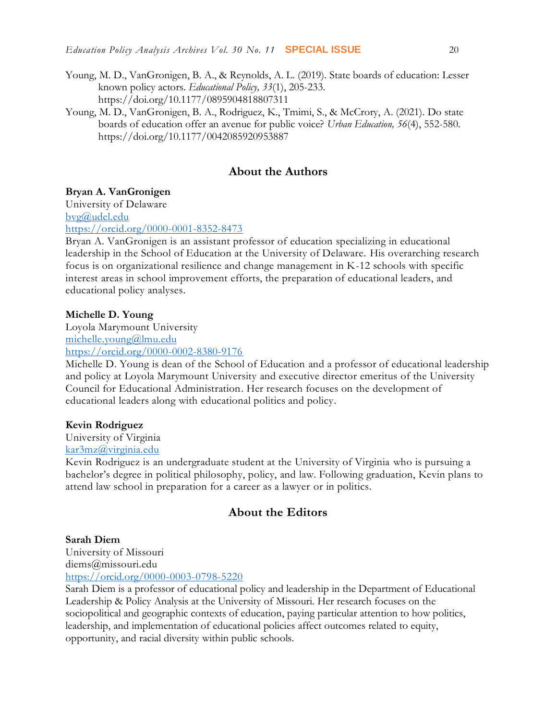- Young, M. D., VanGronigen, B. A., & Reynolds, A. L. (2019). State boards of education: Lesser known policy actors. *Educational Policy, 33*(1), 205-233. <https://doi.org/10.1177/0895904818807311>
- Young, M. D., VanGronigen, B. A., Rodriguez, K., Tmimi, S., & McCrory, A. (2021). Do state boards of education offer an avenue for public voice? *Urban Education, 56*(4), 552-580. <https://doi.org/10.1177/0042085920953887>

### **About the Authors**

#### **Bryan A. VanGronigen**

University of Delaware [bvg@udel.edu](mailto:bvg@udel.edu)

<https://orcid.org/0000-0001-8352-8473>

Bryan A. VanGronigen is an assistant professor of education specializing in educational leadership in the School of Education at the University of Delaware. His overarching research focus is on organizational resilience and change management in K-12 schools with specific interest areas in school improvement efforts, the preparation of educational leaders, and educational policy analyses.

#### **Michelle D. Young**

Loyola Marymount University [michelle.young@lmu.edu](mailto:michelle.young@lmu.edu) <https://orcid.org/0000-0002-8380-9176>

Michelle D. Young is dean of the School of Education and a professor of educational leadership and policy at Loyola Marymount University and executive director emeritus of the University Council for Educational Administration. Her research focuses on the development of educational leaders along with educational politics and policy.

#### **Kevin Rodriguez**

University of Virginia

## [kar3mz@virginia.edu](mailto:kar3mz@virginia.edu)

Kevin Rodriguez is an undergraduate student at the University of Virginia who is pursuing a bachelor's degree in political philosophy, policy, and law. Following graduation, Kevin plans to attend law school in preparation for a career as a lawyer or in politics.

#### **About the Editors**

#### **Sarah Diem**

University of Missouri diems@missouri.edu <https://orcid.org/0000-0003-0798-5220>

Sarah Diem is a professor of educational policy and leadership in the Department of Educational Leadership & Policy Analysis at the University of Missouri. Her research focuses on the sociopolitical and geographic contexts of education, paying particular attention to how politics, leadership, and implementation of educational policies affect outcomes related to equity, opportunity, and racial diversity within public schools.